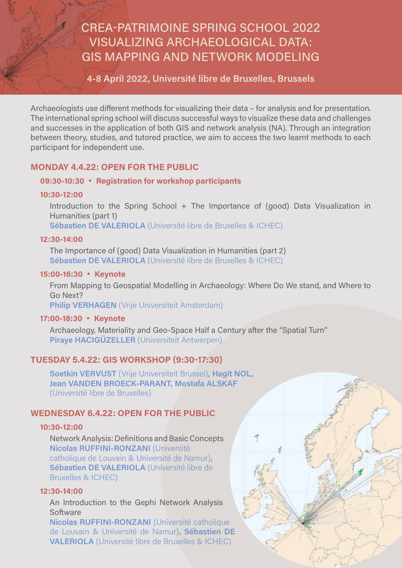# CREA-PATRIMOINE SPRING SCHOOL 2022 VISUALIZING ARCHAEOLOGICAL DATA: GIS MAPPING AND NETWORK MODELING

# **4-8 April 2022, Université libre de Bruxelles, Brussels**

Archaeologists use different methods for visualizing their data – for analysis and for presentation. The international spring school will discuss successful ways to visualize these data and challenges and successes in the application of both GIS and network analysis (NA). Through an integration between theory, studies, and tutored practice, we aim to access the two learnt methods to each participant for independent use.

## **MONDAY 4.4.22: OPEN FOR THE PUBLIC**

## **09:30-10:30** • **Registration for workshop participants**

#### **10:30-12:00**

Introduction to the Spring School + The Importance of (good) Data Visualization in Humanities (part 1)

**Sébastien DE VALERIOLA** (Université libre de Bruxelles & ICHEC)

### **12:30-14:00**

The Importance of (good) Data Visualization in Humanities (part 2) **Sébastien DE VALERIOLA** (Université libre de Bruxelles & ICHEC)

### **15:00-16:30** • **Keynote**

From Mapping to Geospatial Modelling in Archaeology: Where Do We stand, and Where to Go Next?

**Philip VERHAGEN** (Vrije Universiteit Amsterdam)

## **17:00-18:30** • **Keynote**

Archaeology, Materiality and Geo-Space Half a Century after the "Spatial Turn" **Piraye HACIGÜZELLER** (Universiteit Antwerpen)

## **TUESDAY 5.4.22: GIS WORKSHOP (9:30-17:30)**

**Soetkin VERVUST** (Vrije Universiteit Brussel)**, Hagit NOL, Jean VANDEN BROECK-PARANT, Mostafa ALSKAF** (Université libre de Bruxelles)

## **WEDNESDAY 6.4.22: OPEN FOR THE PUBLIC**

### **10:30-12:00**

Network Analysis: Definitions and Basic Concepts **Nicolas RUFFINI-RONZANI** (Université catholique de Louvain & Université de Namur)**, Sébastien DE VALERIOLA** (Université libre de Bruxelles & ICHEC)

## **12:30-14:00**

An Introduction to the Gephi Network Analysis **Software** 

**Nicolas RUFFINI-RONZANI** (Université catholique de Louvain & Université de Namur)**, Sébastien DE VALERIOLA** (Université libre de Bruxelles & ICHEC)